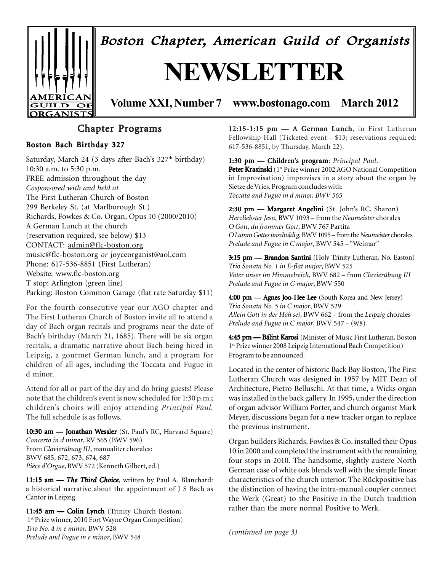

Boston Chapter, American Guild of Organists

# **NEWSLETTER**

**Volume XXI, Number 7 www.bostonago.com March 2012**

## Chapter Programs

#### Boston Bach Birthday 327

Saturday, March 24 (3 days after Bach's 327<sup>th</sup> birthday) 10:30 a.m. to 5:30 p.m. FREE admission throughout the day *Cosponsored with and held at* The First Lutheran Church of Boston 299 Berkeley St. (at Marlborough St.) Richards, Fowkes & Co. Organ, Opus 10 (2000/2010) A German Lunch at the church (reservation required, see below) \$13 CONTACT: admin@flc-boston.org music@flc-boston.org *or* joyceorganist@aol.com Phone: 617-536-8851 (First Lutheran) Website: www.flc-boston.org T stop: Arlington (green line) Parking: Boston Common Garage (flat rate Saturday \$11)

For the fourth consecutive year our AGO chapter and The First Lutheran Church of Boston invite all to attend a day of Bach organ recitals and programs near the date of Bach's birthday (March 21, 1685). There will be six organ recitals, a dramatic narrative about Bach being hired in Leipzig, a gourmet German lunch, and a program for children of all ages, including the Toccata and Fugue in d minor.

Attend for all or part of the day and do bring guests! Please note that the children's event is now scheduled for 1:30 p.m.; children's choirs will enjoy attending *Principal Paul.* The full schedule is as follows.

10:30 am - Jonathan Wessler (St. Paul's RC, Harvard Square) *Concerto in d minor*, RV 565 (BWV 596) From *Clavierübung III*, manualiter chorales: BWV 685, 672, 673, 674, 687 *Pièce d'Orgue*, BWV 572 (Kenneth Gilbert, ed.)

11:15 am - The Third Choice, written by Paul A. Blanchard: a historical narrative about the appointment of J S Bach as Cantor in Leipzig.

11:45 am - Colin Lynch (Trinity Church Boston; 1st Prize winner, 2010 Fort Wayne Organ Competition) *Trio No. 4 in e minor,* BWV 528 *Prelude and Fugue in e minor*, BWV 548

12:15-1:15 pm — A German Lunch, in First Lutheran Fellowship Hall (Ticketed event - \$13; reservations required: 617-536-8851, by Thursday, March 22).

1:30 pm — Children's program:*Principal Paul*. Peter Krasinski (1<sup>st</sup> Prize winner 2002 AGO National Competition in Improvisation) improvises in a story about the organ by Sietze de Vries. Program concludes with: *Toccata and Fugue in d minor, BWV 565*

2:30 pm — Margaret Angelini (St. John's RC, Sharon) *Herzliebster Jesu*, BWV 1093 – from the *Neumeister* chorales *O Gott, du frommer Gott*, BWV 767 Partita *O Lamm Gottes unschuldig*, BWV 1095 – from the *Neumeister* chorales *Prelude and Fugue in C major*, BWV 545 – "Weimar"

3:15 pm - Brandon Santini (Holy Trinity Lutheran, No. Easton) *Trio Sonata No. 1 in E-flat major*, BWV 525 *Vater unser im Himmelreich*, BWV 682 – from *Clavierübung III Prelude and Fugue in G major*, BWV 550

4:00 pm - Agnes Joo-Hee Lee (South Korea and New Jersey) *Trio Sonata No. 5 in C major*, BWV 529 *Allein Gott in der Höh sei*, BWV 662 – from the *Leipzig* chorales *Prelude and Fugue in C major*, BWV 547 – (9/8)

4:45 pm - Bálint Karosi (Minister of Music First Lutheran, Boston 1st Prize winner 2008 Leipzig International Bach Competition) Program to be announced.

Located in the center of historic Back Bay Boston, The First Lutheran Church was designed in 1957 by MIT Dean of Architecture, Pietro Belluschi. At that time, a Wicks organ was installed in the back gallery. In 1995, under the direction of organ advisor William Porter, and church organist Mark Meyer, discussions began for a new tracker organ to replace the previous instrument.

Organ builders Richards, Fowkes & Co. installed their Opus 10 in 2000 and completed the instrument with the remaining four stops in 2010. The handsome, slightly austere North German case of white oak blends well with the simple linear characteristics of the church interior. The Rückpositive has the distinction of having the intra-manual coupler connect the Werk (Great) to the Positive in the Dutch tradition rather than the more normal Positive to Werk.

*(continued on page 3)*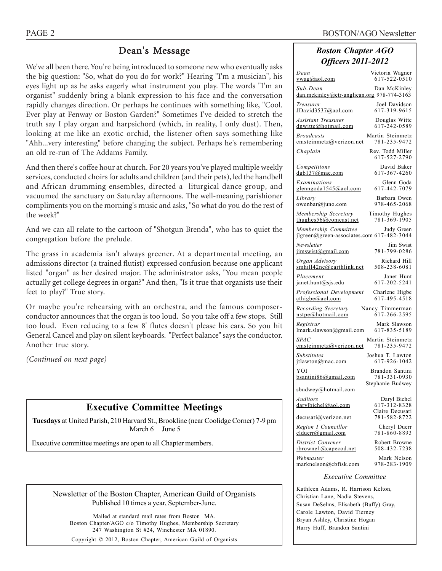## Dean's Message

We've all been there. You're being introduced to someone new who eventually asks the big question: "So, what do you do for work?" Hearing "I'm a musician", his eyes light up as he asks eagerly what instrument you play. The words "I'm an organist" suddenly bring a blank expression to his face and the conversation rapidly changes direction. Or perhaps he continues with something like, "Cool. Ever play at Fenway or Boston Garden?" Sometimes I've deided to stretch the truth say I play organ and harpsichord (which, in reality, I only dust). Then, looking at me like an exotic orchid, the listener often says something like "Ahh...very interesting" before changing the subject. Perhaps he's remembering an old re-run of The Addams Family.

And then there's coffee hour at church. For 20 years you've played multiple weekly services, conducted choirs for adults and children (and their pets), led the handbell and African drumming ensembles, directed a liturgical dance group, and vacuumed the sanctuary on Saturday afternoons. The well-meaning parishioner compliments you on the morning's music and asks, "So what do you do the rest of the week?"

And we can all relate to the cartoon of "Shotgun Brenda", who has to quiet the congregation before the prelude.

The grass in academia isn't always greener. At a departmental meeting, an admissions director (a trained flutist) expressed confusion because one applicant listed "organ" as her desired major. The administrator asks, "You mean people actually get college degrees in organ?" And then, "Is it true that organists use their feet to play?" True story.

Or maybe you're rehearsing with an orchestra, and the famous composerconductor announces that the organ is too loud. So you take off a few stops. Still too loud. Even reducing to a few 8' flutes doesn't please his ears. So you hit General Cancel and play on silent keyboards. "Perfect balance" says the conductor. Another true story.

*(Continued on next page)*

## **Executive Committee Meetings**

**Tuesdays** at United Parish, 210 Harvard St., Brookline (near Coolidge Corner) 7-9 pm March 6 June 5

Executive committee meetings are open to all Chapter members.

Newsletter of the Boston Chapter, American Guild of Organists Published 10 times a year, September-June.

Mailed at standard mail rates from Boston MA. Boston Chapter/AGO c/o Timothy Hughes, Membership Secretary 247 Washington St #24, Winchester MA 01890.

Copyright © 2012, Boston Chapter, American Guild of Organists

#### *Boston Chapter AGO Officers 2011-2012*

| Dean<br><u>vwag@aol.com</u>                                                  | Victoria Wagner<br>617-522-0510  |  |  |  |  |  |
|------------------------------------------------------------------------------|----------------------------------|--|--|--|--|--|
| Sub-Dean<br>dan.mckinley@ctr-anglican.org 978-774-3163                       | Dan McKinley                     |  |  |  |  |  |
| Treasurer<br>JDavid3537@aol.com                                              | Joel Davidson<br>617-319-9615    |  |  |  |  |  |
| <b>Assistant Treasurer</b><br>dnwitte@hotmail.com                            | Douglas Witte<br>617-242-0589    |  |  |  |  |  |
| <b>Broadcasts</b><br>emsteinmetz@verizon.net                                 | Martin Steinmetz<br>781-235-9472 |  |  |  |  |  |
| Chaplain                                                                     | Rev. Todd Miller<br>617-527-2790 |  |  |  |  |  |
| Competitions<br>dgb137@mac.com                                               | David Baker<br>617-367-4260      |  |  |  |  |  |
| Examinations<br>glenngoda1545@aol.com                                        | Glenn Goda<br>617-442-7079       |  |  |  |  |  |
| Library<br>owenbar@juno.com                                                  | Barbara Owen<br>978-465-2068     |  |  |  |  |  |
| Membership Secretary<br>thughes56@comcast.net                                | Timothy Hughes<br>781-369-1905   |  |  |  |  |  |
| Membership Committee Judy Green<br>jlgreen@green-associates.com 617-482-3044 |                                  |  |  |  |  |  |
| Newsletter<br>jimswist@gmail.com                                             | Jim Swist<br>781-799-0286        |  |  |  |  |  |
| Organ Advisory<br>smhill42ne@earthlink.net                                   | Richard Hill<br>508-238-6081     |  |  |  |  |  |
| Placement<br>$j$ anet.hunt@sjs.edu                                           | Janet Hunt<br>617-202-5241       |  |  |  |  |  |
| Professional Development<br>$\text{cthigbe}(a)$ aol.com                      | Charlene Higbe<br>617-495-4518   |  |  |  |  |  |
| Recording Secretary<br>nstpe@hotmail.com                                     | Nancy Timmerman<br>617-266-2595  |  |  |  |  |  |
| Registrar<br>lmark.slawson@gmail.com                                         | Mark Slawson<br>617-835-5189     |  |  |  |  |  |
| <i>SPAC</i><br>emsteinmetz@verizon.net                                       | Martin Steinmetz<br>781-235-9472 |  |  |  |  |  |
| Substitutes<br>itlawton@mac.com                                              | Joshua T. Lawton<br>617-926-1042 |  |  |  |  |  |
| YOI<br>$bsantini86$ @gmail.com                                               | Brandon Santini<br>781-331-0930  |  |  |  |  |  |
| sbudwey@hotmail.com                                                          | Stephanie Budwey                 |  |  |  |  |  |
| Auditors<br>darylbichel@aol.com                                              | Daryl Bichel<br>617-312-8328     |  |  |  |  |  |
| decusati@verizon.net                                                         | Claire Decusati<br>781-582-8722  |  |  |  |  |  |
| Region I Councillor<br>clduerr@gmail.com                                     | Cheryl Duerr<br>781-860-8893     |  |  |  |  |  |
| District Convener<br>rbrownel@capecod.net                                    | Robert Browne<br>508-432-7238    |  |  |  |  |  |
| Webmaster<br>marknelson@cbfisk.com                                           | Mark Nelson<br>978-283-1909      |  |  |  |  |  |
| <i>Executive Committee</i>                                                   |                                  |  |  |  |  |  |

Kathleen Adams, R. Harrison Kelton, Christian Lane, Nadia Stevens, Susan DeSelms, Elisabeth (Buffy) Gray, Carole Lawton, David Tierney Bryan Ashley, Christine Hogan Harry Huff, Brandon Santini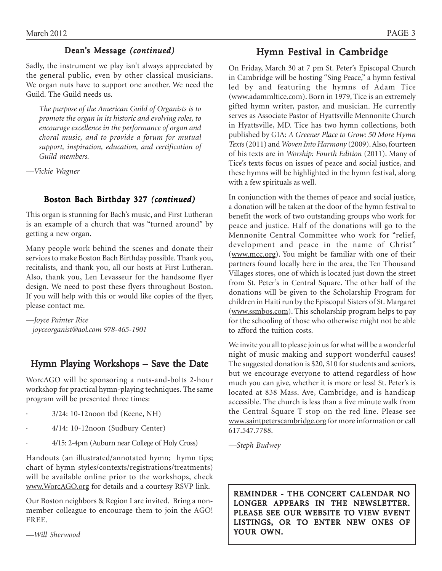#### Dean's Message *(continued)*

Sadly, the instrument we play isn't always appreciated by the general public, even by other classical musicians. We organ nuts have to support one another. We need the Guild. The Guild needs us.

*The purpose of the American Guild of Organists is to promote the organ in its historic and evolving roles, to encourage excellence in the performance of organ and choral music, and to provide a forum for mutual support, inspiration, education, and certification of Guild members.*

*—Vickie Wagner*

#### Boston Bach Birthday 327 *(continued)*

This organ is stunning for Bach's music, and First Lutheran is an example of a church that was "turned around" by getting a new organ.

Many people work behind the scenes and donate their services to make Boston Bach Birthday possible. Thank you, recitalists, and thank you, all our hosts at First Lutheran. Also, thank you, Len Levasseur for the handsome flyer design. We need to post these flyers throughout Boston. If you will help with this or would like copies of the flyer, please contact me.

*—Joyce Painter Rice joyceorganist@aol.com 978-465-1901*

## Hymn Playing Workshops – Save the Date

WorcAGO will be sponsoring a nuts-and-bolts 2-hour workshop for practical hymn-playing techniques. The same program will be presented three times:

- · 3/24: 10-12noon tbd (Keene, NH)
- · 4/14: 10-12noon (Sudbury Center)
- · 4/15: 2-4pm (Auburn near College of Holy Cross)

Handouts (an illustrated/annotated hymn; hymn tips; chart of hymn styles/contexts/registrations/treatments) will be available online prior to the workshops, check www.WorcAGO.org for details and a courtesy RSVP link.

Our Boston neighbors & Region I are invited. Bring a nonmember colleague to encourage them to join the AGO! FREE.

*—Will Sherwood*

## Hymn Festival in Cambridge

On Friday, March 30 at 7 pm St. Peter's Episcopal Church in Cambridge will be hosting "Sing Peace," a hymn festival led by and featuring the hymns of Adam Tice (www.adammltice.com). Born in 1979, Tice is an extremely gifted hymn writer, pastor, and musician. He currently serves as Associate Pastor of Hyattsville Mennonite Church in Hyattsville, MD. Tice has two hymn collections, both published by GIA: *A Greener Place to Grow: 50 More Hymn Texts* (2011) and *Woven Into Harmony* (2009). Also, fourteen of his texts are in *Worship: Fourth Edition* (2011). Many of Tice's texts focus on issues of peace and social justice, and these hymns will be highlighted in the hymn festival, along with a few spirituals as well.

In conjunction with the themes of peace and social justice, a donation will be taken at the door of the hymn festival to benefit the work of two outstanding groups who work for peace and justice. Half of the donations will go to the Mennonite Central Committee who work for "relief, development and peace in the name of Christ" (www.mcc.org). You might be familiar with one of their partners found locally here in the area, the Ten Thousand Villages stores, one of which is located just down the street from St. Peter's in Central Square. The other half of the donations will be given to the Scholarship Program for children in Haiti run by the Episcopal Sisters of St. Margaret (www.ssmbos.com). This scholarship program helps to pay for the schooling of those who otherwise might not be able to afford the tuition costs.

We invite you all to please join us for what will be a wonderful night of music making and support wonderful causes! The suggested donation is \$20, \$10 for students and seniors, but we encourage everyone to attend regardless of how much you can give, whether it is more or less! St. Peter's is located at 838 Mass. Ave, Cambridge, and is handicap accessible. The church is less than a five minute walk from the Central Square T stop on the red line. Please see www.saintpeterscambridge.org for more information or call 617.547.7788.

*—Steph Budwey*

REMINDER - THE CONCERT CALENDAR NO LONGER APPEARS IN THE NEWSLETTER. PLEASE SEE OUR WEBSITE TO VIEW EVENT LISTINGS, OR TO ENTER NEW ONES OF YOUR OWN.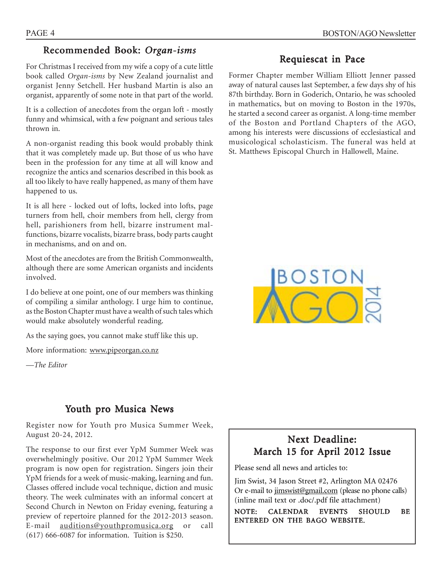#### Recommended Book: Organ-isms

For Christmas I received from my wife a copy of a cute little book called *Organ-isms* by New Zealand journalist and organist Jenny Setchell. Her husband Martin is also an organist, apparently of some note in that part of the world.

It is a collection of anecdotes from the organ loft - mostly funny and whimsical, with a few poignant and serious tales thrown in.

A non-organist reading this book would probably think that it was completely made up. But those of us who have been in the profession for any time at all will know and recognize the antics and scenarios described in this book as all too likely to have really happened, as many of them have happened to us.

It is all here - locked out of lofts, locked into lofts, page turners from hell, choir members from hell, clergy from hell, parishioners from hell, bizarre instrument malfunctions, bizarre vocalists, bizarre brass, body parts caught in mechanisms, and on and on.

Most of the anecdotes are from the British Commonwealth, although there are some American organists and incidents involved.

I do believe at one point, one of our members was thinking of compiling a similar anthology. I urge him to continue, as the Boston Chapter must have a wealth of such tales which would make absolutely wonderful reading.

As the saying goes, you cannot make stuff like this up.

More information: www.pipeorgan.co.nz

*—The Editor*

## Youth pro Musica News

Register now for Youth pro Musica Summer Week, August 20-24, 2012.

The response to our first ever YpM Summer Week was overwhelmingly positive. Our 2012 YpM Summer Week program is now open for registration. Singers join their YpM friends for a week of music-making, learning and fun. Classes offered include vocal technique, diction and music theory. The week culminates with an informal concert at Second Church in Newton on Friday evening, featuring a preview of repertoire planned for the 2012-2013 season. E-mail auditions@youthpromusica.org or call (617) 666-6087 for information. Tuition is \$250.

## Requiescat in Pace

Former Chapter member William Elliott Jenner passed away of natural causes last September, a few days shy of his 87th birthday. Born in Goderich, Ontario, he was schooled in mathematics, but on moving to Boston in the 1970s, he started a second career as organist. A long-time member of the Boston and Portland Chapters of the AGO, among his interests were discussions of ecclesiastical and musicological scholasticism. The funeral was held at St. Matthews Episcopal Church in Hallowell, Maine.



## Next Deadline: March 15 for April 2012 Issue

Please send all news and articles to:

Jim Swist, 34 Jason Street #2, Arlington MA 02476 Or e-mail to jimswist@gmail.com (please no phone calls) (inline mail text or .doc/.pdf file attachment)

NOTE: CALENDAR EVENTS SHOULD BE ENTERED ON THE BAGO WEBSITE.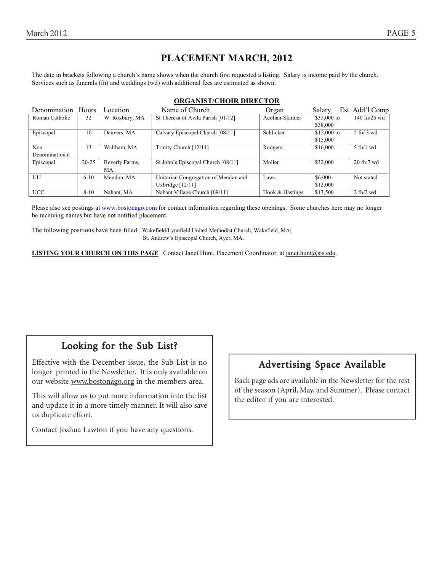## **PLACEMENT MARCH, 2012**

The date in brackets following a church's name shows when the church first requested a listing. Salary is income paid by the church. Services such as funerals (fn) and weddings (wd) with additional fees are estimated as shown.

| Denomination Hours |           | Location       | Name of Church                       | Organ           | Salary       | Est. Add'l Comp                  |
|--------------------|-----------|----------------|--------------------------------------|-----------------|--------------|----------------------------------|
| Roman Catholic     | 32        | W. Roxbury, MA | St Theresa of Avila Parish [01/12]   | Aeolian-Skinner | \$35,000 to  | $140 \text{ ft} / 25 \text{ wd}$ |
|                    |           |                |                                      |                 | \$38,000     |                                  |
| Episcopal          | 10        | Danvers, MA    | Calvary Episcopal Church [08/11]     | Schlicker       | $$12,000$ to | $5 \text{ ft} / 3 \text{ wd}$    |
|                    |           |                |                                      |                 | \$15,000     |                                  |
| Non-               | 13        | Waltham, MA    | Trinity Church [12/11]               | Rodgers         | \$16,000     | $5$ fn/1 wd                      |
| Denominational     |           |                |                                      |                 |              |                                  |
| Episcopal          | $20 - 25$ | Beverly Farms, | St John's Episcopal Church [08/11]   | Moller          | \$32,000     | $20 \text{ ft} / 7 \text{ wd}$   |
|                    |           | МA             |                                      |                 |              |                                  |
| UU                 | $6 - 10$  | Mendon, MA     | Unitarian Congregation of Mendon and | Laws            | $$6,000-$    | Not stated                       |
|                    |           |                | Uxbridge $[12/11]$                   |                 | \$12,000     |                                  |
| <b>UCC</b>         | $8 - 10$  | Nahant, MA     | Nahant Village Church [09/11]        | Hook & Hastings | \$13,500     | $2 \text{ ft}$ / $2 \text{ wd}$  |

#### **ORGANIST/CHOIR DIRECTOR**

Please also see postings at www.bostonago.com for contact information regarding these openings. Some churches here may no longer be receiving names but have not notified placement.

The following positions have been filled: Wakefield/Lynnfield United Methodist Church, Wakefield, MA; St. Andrew's Episcopal Church, Ayer, MA.

**LISTING YOUR CHURCH ON THIS PAGE** Contact Janet Hunt, Placement Coordinator, at janet.hunt@sjs.edu.

## Looking for the Sub List?

Effective with the December issue, the Sub List is no longer printed in the Newsletter. It is only available on our website www.bostonago.org in the members area.

This will allow us to put more information into the list and update it in a more timely manner. It will also save us duplicate effort.

Contact Joshua Lawton if you have any questions.

## Advertising Space Available

Back page ads are available in the Newsletter for the rest of the season (April, May, and Summer). Please contact the editor if you are interested.